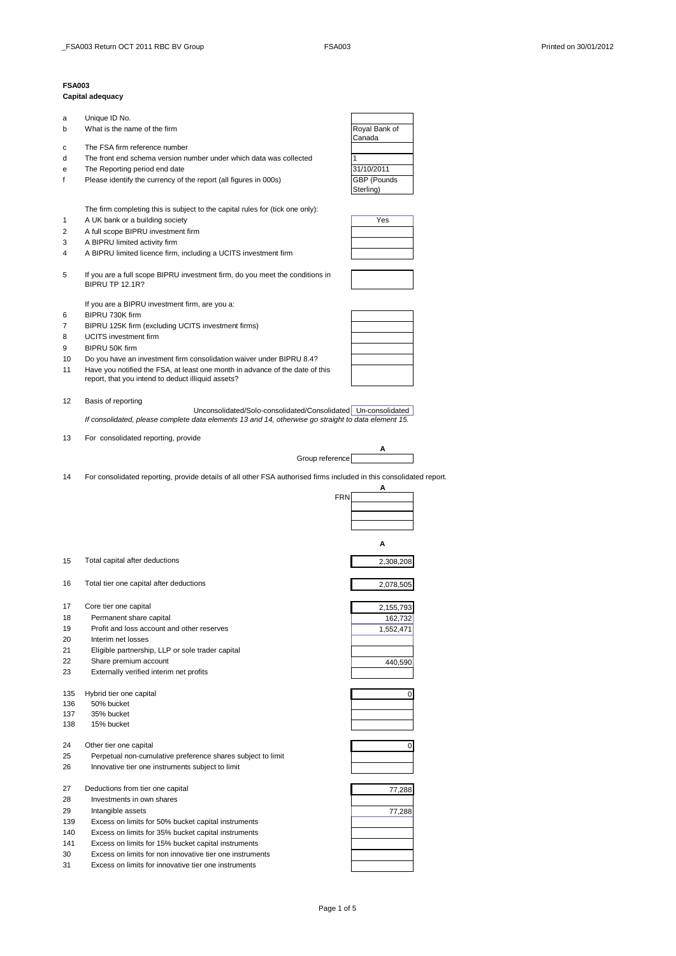## **FSA003**

## **Capital adequacy**

| a | Unique ID No.                |
|---|------------------------------|
| b | What is the name of the firm |

- c The FSA firm reference number
- d The front end schema version number under which data was collected 1
- 
- e The Reporting period end date<br>
f Please identify the currency of the report (all figures in 000s) **31/10/2011** f Please identify the currency of the report (all figures in 000s)

The firm completing this is subject to the capital rules for (tick one only):

- 1 A UK bank or a building society Yes
- 2 A full scope BIPRU investment firm
- 3 A BIPRU limited activity firm
- 4 A BIPRU limited licence firm, including a UCITS investment firm
- 5 If you are a full scope BIPRU investment firm, do you meet the conditions in BIPRU TP 12.1R?

If you are a BIPRU investment firm, are you a:

- 6 BIPRU 730K firm
- 7 BIPRU 125K firm (excluding UCITS investment firms)
- 8 UCITS investment firm
- 9 BIPRU 50K firm
- 10 Do you have an investment firm consolidation waiver under BIPRU 8.4?
- 11 Have you notified the FSA, at least one month in advance of the date of this report, that you intend to deduct illiquid assets?

12 Basis of reporting

Unconsolidated/Solo-consolidated/Consolidated Un-consolidated *If consolidated, please complete data elements 13 and 14, otherwise go straight to data element 15.*

13 For consolidated reporting, provide



 $\mathbf{F}$ 

14 For consolidated reporting, provide details of all other FSA authorised firms included in this consolidated report.

|     |                                                                                                            | FRN       |
|-----|------------------------------------------------------------------------------------------------------------|-----------|
|     |                                                                                                            |           |
|     |                                                                                                            | А         |
| 15  | Total capital after deductions                                                                             | 2,308,208 |
| 16  | Total tier one capital after deductions                                                                    | 2,078,505 |
| 17  | Core tier one capital                                                                                      | 2,155,793 |
| 18  | Permanent share capital                                                                                    | 162,732   |
| 19  | Profit and loss account and other reserves                                                                 | 1,552,471 |
| 20  | Interim net losses                                                                                         |           |
| 21  | Eligible partnership, LLP or sole trader capital                                                           |           |
| 22  | Share premium account                                                                                      | 440,590   |
| 23  | Externally verified interim net profits                                                                    |           |
| 135 | Hybrid tier one capital                                                                                    | 0         |
| 136 | 50% bucket                                                                                                 |           |
| 137 | 35% bucket                                                                                                 |           |
| 138 | 15% bucket                                                                                                 |           |
| 24  | Other tier one capital                                                                                     | 0         |
| 25  | Perpetual non-cumulative preference shares subject to limit                                                |           |
| 26  | Innovative tier one instruments subject to limit                                                           |           |
| 27  | Deductions from tier one capital                                                                           | 77,288    |
| 28  | Investments in own shares                                                                                  |           |
| 29  | Intangible assets                                                                                          | 77,288    |
| 139 | Excess on limits for 50% bucket capital instruments                                                        |           |
|     |                                                                                                            |           |
| 141 |                                                                                                            |           |
| 30  | Excess on limits for non innovative tier one instruments                                                   |           |
| 31  | Excess on limits for innovative tier one instruments                                                       |           |
| 140 | Excess on limits for 35% bucket capital instruments<br>Excess on limits for 15% bucket capital instruments |           |







**A**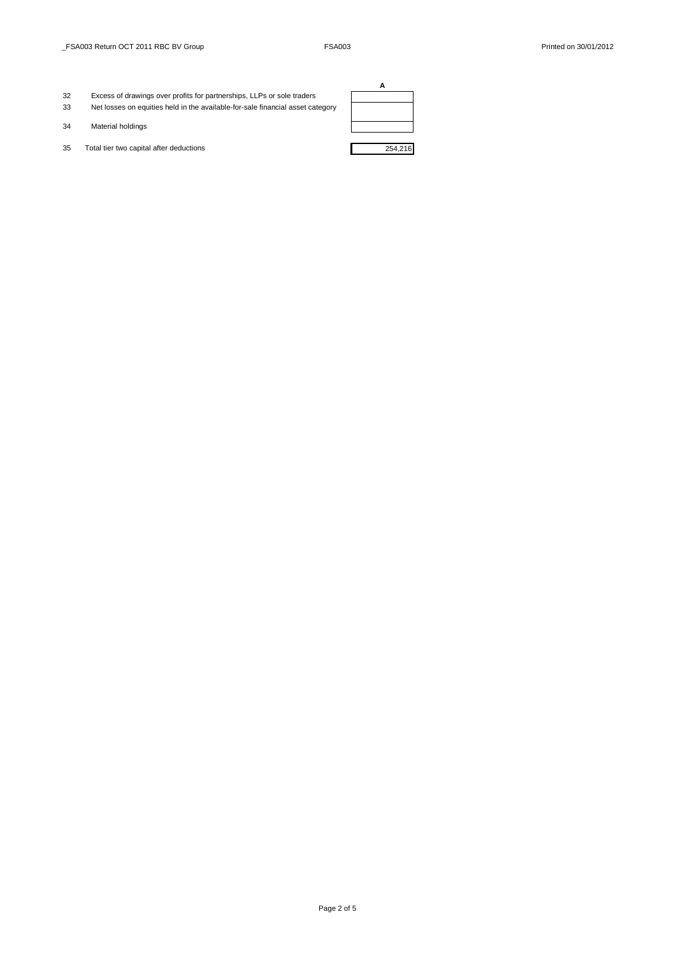- 32 Excess of drawings over profits for partnerships, LLPs or sole traders 33 Net losses on equities held in the available-for-sale financial asset category
- 34 Material holdings
- 35 Total tier two capital after deductions 254,216

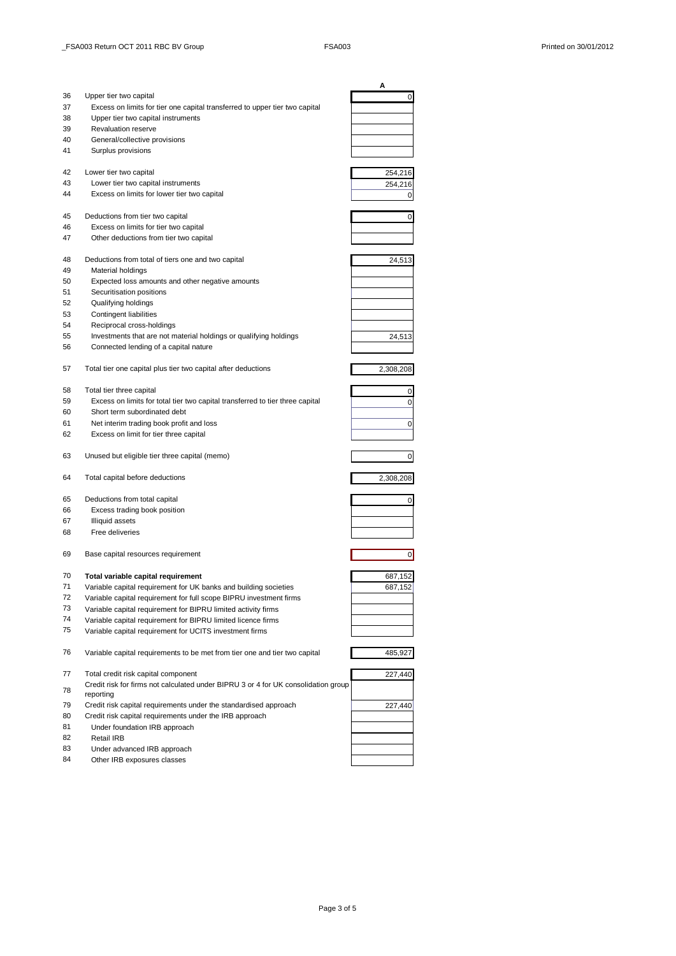|    |                                                                                                 | Α              |
|----|-------------------------------------------------------------------------------------------------|----------------|
| 36 | Upper tier two capital                                                                          | 0              |
| 37 | Excess on limits for tier one capital transferred to upper tier two capital                     |                |
| 38 | Upper tier two capital instruments                                                              |                |
| 39 | <b>Revaluation reserve</b>                                                                      |                |
| 40 | General/collective provisions                                                                   |                |
| 41 | Surplus provisions                                                                              |                |
| 42 | Lower tier two capital                                                                          | 254,216        |
| 43 | Lower tier two capital instruments                                                              | 254,216        |
| 44 | Excess on limits for lower tier two capital                                                     | 0              |
| 45 | Deductions from tier two capital                                                                | 0              |
| 46 | Excess on limits for tier two capital                                                           |                |
| 47 | Other deductions from tier two capital                                                          |                |
| 48 | Deductions from total of tiers one and two capital                                              | 24,513         |
| 49 | Material holdings                                                                               |                |
| 50 | Expected loss amounts and other negative amounts                                                |                |
| 51 | Securitisation positions                                                                        |                |
| 52 | Qualifying holdings                                                                             |                |
| 53 | <b>Contingent liabilities</b>                                                                   |                |
| 54 | Reciprocal cross-holdings                                                                       |                |
| 55 | Investments that are not material holdings or qualifying holdings                               | 24,513         |
| 56 | Connected lending of a capital nature                                                           |                |
| 57 | Total tier one capital plus tier two capital after deductions                                   | 2,308,208      |
| 58 | Total tier three capital                                                                        | 0              |
| 59 | Excess on limits for total tier two capital transferred to tier three capital                   | 0              |
| 60 | Short term subordinated debt                                                                    |                |
| 61 | Net interim trading book profit and loss                                                        | 0              |
| 62 | Excess on limit for tier three capital                                                          |                |
| 63 | Unused but eligible tier three capital (memo)                                                   | 0              |
| 64 | Total capital before deductions                                                                 | 2,308,208      |
| 65 | Deductions from total capital                                                                   | 0              |
| 66 | Excess trading book position                                                                    |                |
| 67 | Illiquid assets                                                                                 |                |
| 68 | Free deliveries                                                                                 |                |
| 69 | Base capital resources requirement                                                              | $\overline{0}$ |
|    |                                                                                                 |                |
| 70 | Total variable capital requirement                                                              | 687,152        |
| 71 | Variable capital requirement for UK banks and building societies                                | 687,152        |
| 72 | Variable capital requirement for full scope BIPRU investment firms                              |                |
| 73 | Variable capital requirement for BIPRU limited activity firms                                   |                |
| 74 | Variable capital requirement for BIPRU limited licence firms                                    |                |
| 75 | Variable capital requirement for UCITS investment firms                                         |                |
| 76 | Variable capital requirements to be met from tier one and tier two capital                      | 485,927        |
| 77 | Total credit risk capital component                                                             | 227,440        |
| 78 | Credit risk for firms not calculated under BIPRU 3 or 4 for UK consolidation group<br>reporting |                |
| 79 | Credit risk capital requirements under the standardised approach                                | 227,440        |
| 80 | Credit risk capital requirements under the IRB approach                                         |                |
| 81 | Under foundation IRB approach                                                                   |                |
| 82 | Retail IRB                                                                                      |                |
| 83 | Under advanced IRB approach                                                                     |                |
| 84 | Other IRB exposures classes                                                                     |                |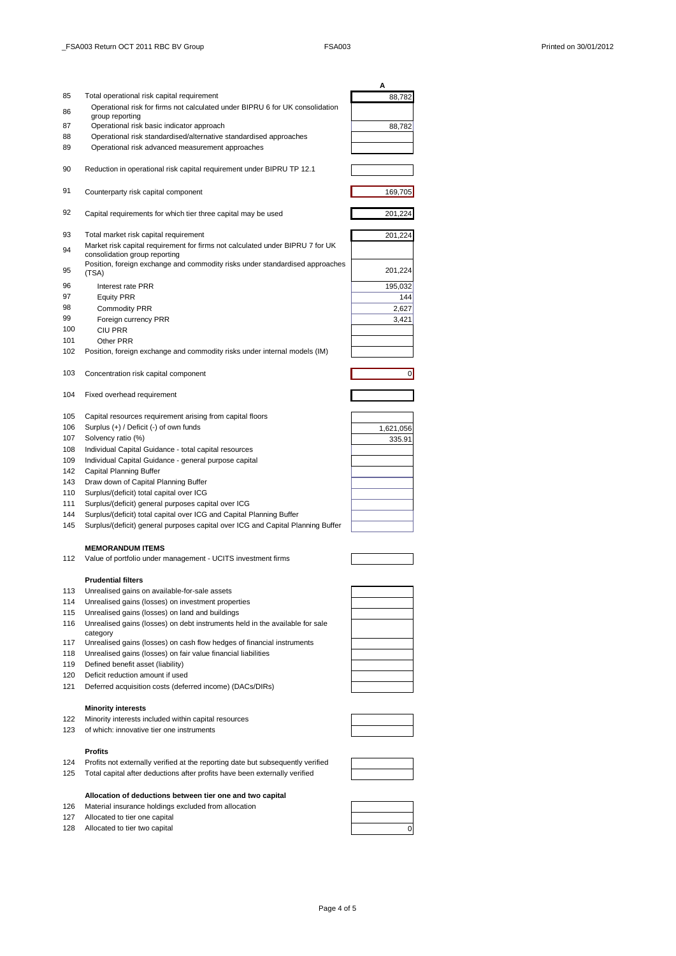|     |                                                                                 | Α            |
|-----|---------------------------------------------------------------------------------|--------------|
| 85  | Total operational risk capital requirement                                      | 88,782       |
| 86  | Operational risk for firms not calculated under BIPRU 6 for UK consolidation    |              |
|     | group reporting                                                                 |              |
| 87  | Operational risk basic indicator approach                                       | 88,782       |
| 88  | Operational risk standardised/alternative standardised approaches               |              |
| 89  | Operational risk advanced measurement approaches                                |              |
|     |                                                                                 |              |
| 90  | Reduction in operational risk capital requirement under BIPRU TP 12.1           |              |
|     |                                                                                 |              |
| 91  | Counterparty risk capital component                                             | 169,705      |
|     |                                                                                 |              |
| 92  | Capital requirements for which tier three capital may be used                   | 201,224      |
|     |                                                                                 |              |
| 93  | Total market risk capital requirement                                           | 201,224      |
|     | Market risk capital requirement for firms not calculated under BIPRU 7 for UK   |              |
| 94  | consolidation group reporting                                                   |              |
| 95  | Position, foreign exchange and commodity risks under standardised approaches    |              |
|     | (TSA)                                                                           | 201,224      |
| 96  | Interest rate PRR                                                               | 195,032      |
| 97  | <b>Equity PRR</b>                                                               | 144          |
| 98  | <b>Commodity PRR</b>                                                            | 2,627        |
| 99  | Foreign currency PRR                                                            | 3,421        |
| 100 | <b>CIU PRR</b>                                                                  |              |
| 101 | Other PRR                                                                       |              |
| 102 | Position, foreign exchange and commodity risks under internal models (IM)       |              |
|     |                                                                                 |              |
| 103 | Concentration risk capital component                                            | $\mathbf{0}$ |
|     |                                                                                 |              |
| 104 | Fixed overhead requirement                                                      |              |
|     |                                                                                 |              |
| 105 | Capital resources requirement arising from capital floors                       |              |
| 106 | Surplus (+) / Deficit (-) of own funds                                          | 1,621,056    |
| 107 | Solvency ratio (%)                                                              | 335.91       |
| 108 | Individual Capital Guidance - total capital resources                           |              |
| 109 | Individual Capital Guidance - general purpose capital                           |              |
| 142 | <b>Capital Planning Buffer</b>                                                  |              |
| 143 |                                                                                 |              |
| 110 | Draw down of Capital Planning Buffer                                            |              |
| 111 | Surplus/(deficit) total capital over ICG                                        |              |
|     | Surplus/(deficit) general purposes capital over ICG                             |              |
| 144 | Surplus/(deficit) total capital over ICG and Capital Planning Buffer            |              |
| 145 | Surplus/(deficit) general purposes capital over ICG and Capital Planning Buffer |              |
|     |                                                                                 |              |
|     | <b>MEMORANDUM ITEMS</b>                                                         |              |
| 112 | Value of portfolio under management - UCITS investment firms                    |              |
|     |                                                                                 |              |
|     | <b>Prudential filters</b>                                                       |              |
| 113 | Unrealised gains on available-for-sale assets                                   |              |
| 114 | Unrealised gains (losses) on investment properties                              |              |
| 115 | Unrealised gains (losses) on land and buildings                                 |              |
| 116 | Unrealised gains (losses) on debt instruments held in the available for sale    |              |
|     | category                                                                        |              |
| 117 | Unrealised gains (losses) on cash flow hedges of financial instruments          |              |
| 118 | Unrealised gains (losses) on fair value financial liabilities                   |              |
| 119 | Defined benefit asset (liability)                                               |              |
| 120 | Deficit reduction amount if used                                                |              |
| 121 | Deferred acquisition costs (deferred income) (DACs/DIRs)                        |              |
|     |                                                                                 |              |
|     | <b>Minority interests</b>                                                       |              |
| 122 | Minority interests included within capital resources                            |              |
| 123 | of which: innovative tier one instruments                                       |              |
|     |                                                                                 |              |
|     | <b>Profits</b>                                                                  |              |
| 124 | Profits not externally verified at the reporting date but subsequently verified |              |
|     |                                                                                 |              |
| 125 | Total capital after deductions after profits have been externally verified      |              |

## **Allocation of deductions between tier one and two capital** 126 Material insurance holdings excluded from allocation

- 127 Allocated to tier one capital
- 128 Allocated to tier two capital **0** and 0 and 0 and 0 and 0 and 0 and 0 and 0 and 0 and 0 and 0 and 0 and 0 and 0 and 0 and 0 and 0 and 0 and 0 and 0 and 0 and 0 and 0 and 0 and 0 and 0 and 0 and 0 and 0 and 0 and 0 and



Page 4 of 5